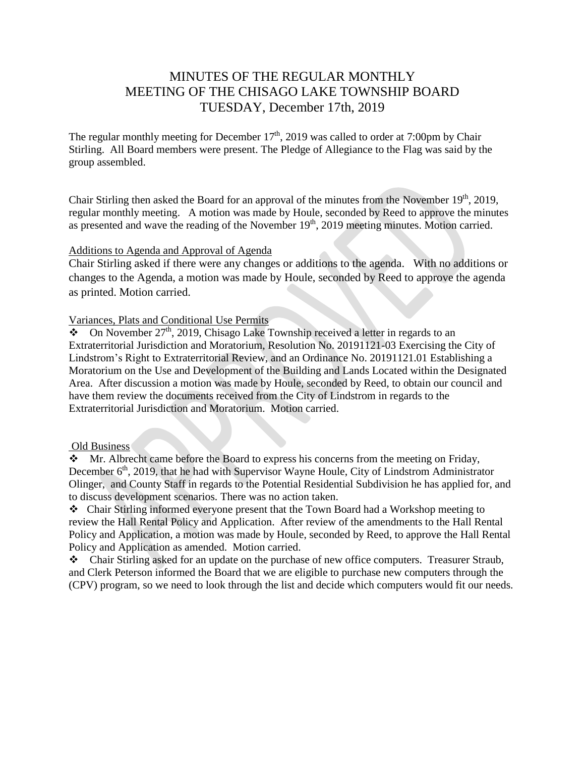# MINUTES OF THE REGULAR MONTHLY MEETING OF THE CHISAGO LAKE TOWNSHIP BOARD TUESDAY, December 17th, 2019

The regular monthly meeting for December  $17<sup>th</sup>$ , 2019 was called to order at 7:00pm by Chair Stirling. All Board members were present. The Pledge of Allegiance to the Flag was said by the group assembled.

Chair Stirling then asked the Board for an approval of the minutes from the November 19<sup>th</sup>, 2019, regular monthly meeting. A motion was made by Houle, seconded by Reed to approve the minutes as presented and wave the reading of the November  $19<sup>th</sup>$ , 2019 meeting minutes. Motion carried.

#### Additions to Agenda and Approval of Agenda

Chair Stirling asked if there were any changes or additions to the agenda. With no additions or changes to the Agenda, a motion was made by Houle, seconded by Reed to approve the agenda as printed. Motion carried.

## Variances, Plats and Conditional Use Permits

 $\overline{\bullet}$  On November 27<sup>th</sup>, 2019, Chisago Lake Township received a letter in regards to an Extraterritorial Jurisdiction and Moratorium, Resolution No. 20191121-03 Exercising the City of Lindstrom's Right to Extraterritorial Review, and an Ordinance No. 20191121.01 Establishing a Moratorium on the Use and Development of the Building and Lands Located within the Designated Area. After discussion a motion was made by Houle, seconded by Reed, to obtain our council and have them review the documents received from the City of Lindstrom in regards to the Extraterritorial Jurisdiction and Moratorium. Motion carried.

#### Old Business

 $\bullet$  Mr. Albrecht came before the Board to express his concerns from the meeting on Friday, December 6<sup>th</sup>, 2019, that he had with Supervisor Wayne Houle, City of Lindstrom Administrator Olinger, and County Staff in regards to the Potential Residential Subdivision he has applied for, and to discuss development scenarios. There was no action taken.

 Chair Stirling informed everyone present that the Town Board had a Workshop meeting to review the Hall Rental Policy and Application. After review of the amendments to the Hall Rental Policy and Application, a motion was made by Houle, seconded by Reed, to approve the Hall Rental Policy and Application as amended. Motion carried.

Chair Stirling asked for an update on the purchase of new office computers. Treasurer Straub, and Clerk Peterson informed the Board that we are eligible to purchase new computers through the (CPV) program, so we need to look through the list and decide which computers would fit our needs.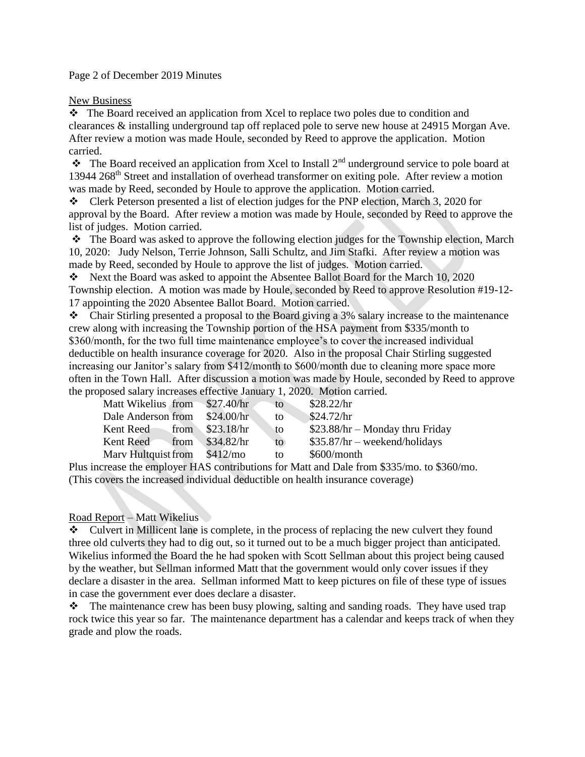Page 2 of December 2019 Minutes

New Business

 The Board received an application from Xcel to replace two poles due to condition and clearances & installing underground tap off replaced pole to serve new house at 24915 Morgan Ave. After review a motion was made Houle, seconded by Reed to approve the application. Motion carried.

 $\bullet$  The Board received an application from Xcel to Install 2<sup>nd</sup> underground service to pole board at 13944 268th Street and installation of overhead transformer on exiting pole. After review a motion was made by Reed, seconded by Houle to approve the application. Motion carried.

\* Clerk Peterson presented a list of election judges for the PNP election, March 3, 2020 for approval by the Board. After review a motion was made by Houle, seconded by Reed to approve the list of judges. Motion carried.

 $\cdot \cdot$  The Board was asked to approve the following election judges for the Township election, March 10, 2020: Judy Nelson, Terrie Johnson, Salli Schultz, and Jim Stafki. After review a motion was made by Reed, seconded by Houle to approve the list of judges. Motion carried.

\* Next the Board was asked to appoint the Absentee Ballot Board for the March 10, 2020 Township election. A motion was made by Houle, seconded by Reed to approve Resolution #19-12- 17 appointing the 2020 Absentee Ballot Board. Motion carried.

Chair Stirling presented a proposal to the Board giving a 3% salary increase to the maintenance crew along with increasing the Township portion of the HSA payment from \$335/month to \$360/month, for the two full time maintenance employee's to cover the increased individual deductible on health insurance coverage for 2020. Also in the proposal Chair Stirling suggested increasing our Janitor's salary from \$412/month to \$600/month due to cleaning more space more often in the Town Hall. After discussion a motion was made by Houle, seconded by Reed to approve the proposed salary increases effective January 1, 2020. Motion carried.

| Matt Wikelius from \$27.40/hr |          | to  | \$28.22/hr                       |
|-------------------------------|----------|-----|----------------------------------|
| Dale Anderson from \$24.00/hr |          | to  | \$24.72/hr                       |
| Kent Reed from \$23.18/hr     |          | to  | $$23.88/hr - Monday$ thru Friday |
| Kent Reed from \$34.82/hr     |          | to. | $$35.87/hr - weekend/holidays$   |
| Mary Hultquist from           | \$412/mo | to  | $$600/m$ onth                    |

Plus increase the employer HAS contributions for Matt and Dale from \$335/mo. to \$360/mo. (This covers the increased individual deductible on health insurance coverage)

### Road Report – Matt Wikelius

 Culvert in Millicent lane is complete, in the process of replacing the new culvert they found three old culverts they had to dig out, so it turned out to be a much bigger project than anticipated. Wikelius informed the Board the he had spoken with Scott Sellman about this project being caused by the weather, but Sellman informed Matt that the government would only cover issues if they declare a disaster in the area. Sellman informed Matt to keep pictures on file of these type of issues in case the government ever does declare a disaster.

\* The maintenance crew has been busy plowing, salting and sanding roads. They have used trap rock twice this year so far. The maintenance department has a calendar and keeps track of when they grade and plow the roads.